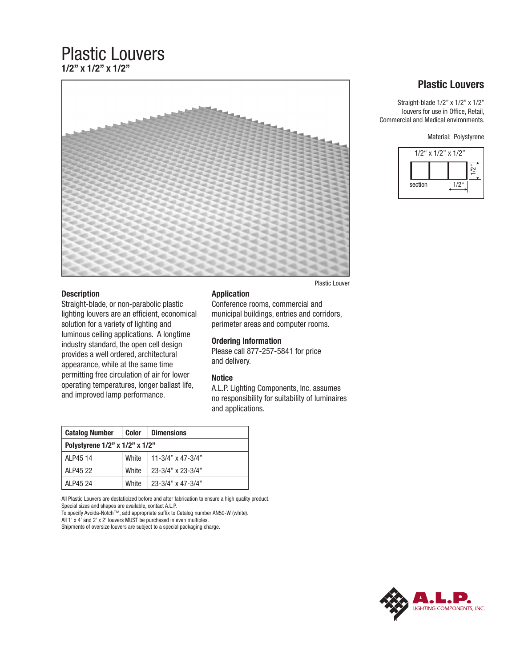# Plastic Louvers **1/2" x 1/2" x 1/2"**



## **Description**

Straight-blade, or non-parabolic plastic lighting louvers are an efficient, economical solution for a variety of lighting and luminous ceiling applications. A longtime industry standard, the open cell design provides a well ordered, architectural appearance, while at the same time permitting free circulation of air for lower operating temperatures, longer ballast life, and improved lamp performance.

### **Application**

Conference rooms, commercial and municipal buildings, entries and corridors, perimeter areas and computer rooms.

### **Ordering Information**

Please call 877-257-5841 for price and delivery.

### **Notice**

A.L.P. Lighting Components, Inc. assumes no responsibility for suitability of luminaires and applications.

| <b>Catalog Number</b>          | <b>Color</b> | <b>Dimensions</b>            |  |  |
|--------------------------------|--------------|------------------------------|--|--|
| Polystyrene 1/2" x 1/2" x 1/2" |              |                              |  |  |
| ALP45 14                       | <b>White</b> | $11 - 3/4$ " x 47-3/4"       |  |  |
| ALP45 22                       | <b>White</b> | 23-3/4" x 23-3/4"            |  |  |
| ALP45 24                       | <b>White</b> | $23 - 3/4" \times 47 - 3/4"$ |  |  |

All Plastic Louvers are destaticized before and after fabrication to ensure a high quality product. Special sizes and shapes are available, contact A.L.P.

To specify Avoida-Notch™, add appropriate suffix to Catalog number AN50-W (white). All 1' x 4' and 2' x 2' louvers MUST be purchased in even multiples.

Shipments of oversize louvers are subject to a special packaging charge.

# **Plastic Louvers**

Straight-blade 1/2" x 1/2" x 1/2" louvers for use in Office, Retail, Commercial and Medical environments.

Material: Polystyrene



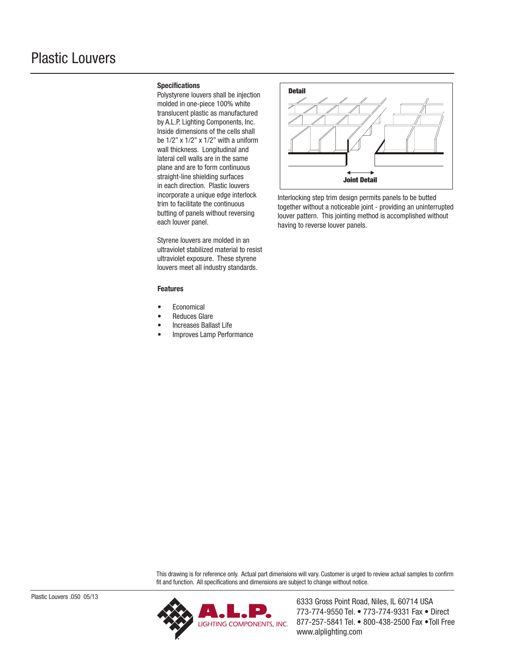### **Specifications**

Polystyrene louvers shall be injection molded in one-piece 100% white translucent plastic as manufactured by A.L.P. Lighting Components, Inc. Inside dimensions of the cells shall be 1/2" x 1/2" x 1/2" with a uniform wall thickness. Longitudinal and lateral cell walls are in the same plane and are to form continuous straight-line shielding surfaces in each direction. Plastic louvers incorporate a unique edge interlock trim to facilitate the continuous butting of panels without reversing each louver panel.

Styrene louvers are molded in an ultraviolet stabilized material to resist ultraviolet exposure. These styrene louvers meet all industry standards.

#### **Features**

- **Economical**
- Reduces Glare
- Increases Ballast Life
- Improves Lamp Performance



Interlocking step trim design permits panels to be butted together without a noticeable joint - providing an uninterrupted louver pattern. This jointing method is accomplished without having to reverse louver panels.

This drawing is for reference only. Actual part dimensions will vary. Customer is urged to review actual samples to confirm fit and function. All specifications and dimensions are subject to change without notice.



773-774-9550 Tel. • 773-774-9331 Fax • Direct 877-257-5841 Tel. • 800-438-2500 Fax •Toll Free www.alplighting.com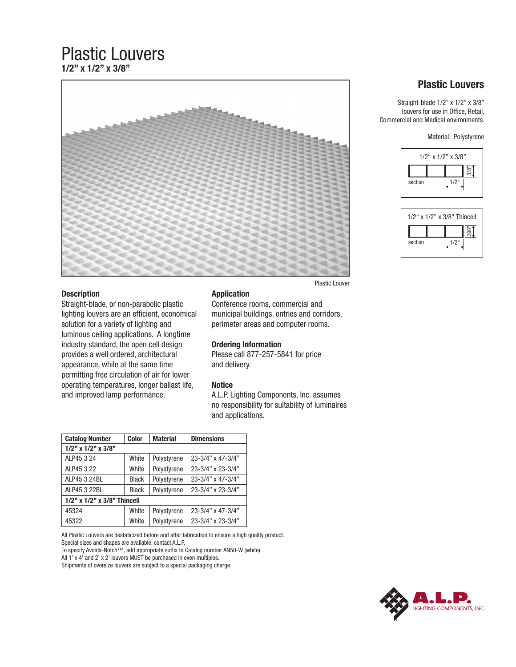# Plastic Louvers **1/2" x 1/2" x 3/8"**



## **Description**

Straight-blade, or non-parabolic plastic lighting louvers are an efficient, economical solution for a variety of lighting and luminous ceiling applications. A longtime industry standard, the open cell design provides a well ordered, architectural appearance, while at the same time permitting free circulation of air for lower operating temperatures, longer ballast life, and improved lamp performance.

### **Application**

Conference rooms, commercial and municipal buildings, entries and corridors, perimeter areas and computer rooms.

# **Ordering Information**

Please call 877-257-5841 for price and delivery.

### **Notice**

A.L.P. Lighting Components, Inc. assumes no responsibility for suitability of luminaires and applications.

| <b>Catalog Number</b>       | <b>Color</b> | <b>Material</b> | <b>Dimensions</b> |  |  |
|-----------------------------|--------------|-----------------|-------------------|--|--|
| $1/2$ " x $1/2$ " x $3/8$ " |              |                 |                   |  |  |
| ALP45 3 24                  | White        | Polystyrene     | 23-3/4" x 47-3/4" |  |  |
| ALP45 3 22                  | White        | Polystyrene     | 23-3/4" x 23-3/4" |  |  |
| ALP45 3 24BL                | <b>Black</b> | Polystyrene     | 23-3/4" x 47-3/4" |  |  |
| ALP45 3 22BL                | <b>Black</b> | Polystyrene     | 23-3/4" x 23-3/4" |  |  |
| 1/2" x 1/2" x 3/8" Thincell |              |                 |                   |  |  |
| 45324                       | White        | Polystyrene     | 23-3/4" x 47-3/4" |  |  |
| 45322                       | White        | Polystyrene     | 23-3/4" x 23-3/4" |  |  |

All Plastic Louvers are destaticized before and after fabrication to ensure a high quality product. Special sizes and shapes are available, contact A.L.P.

To specify Avoida-Notch™, add appropriate suffix to Catalog number AN50-W (white).

All 1' x 4' and 2' x 2' louvers MUST be purchased in even multiples.

Shipments of oversize louvers are subject to a special packaging charge.

# **Plastic Louvers**

Straight-blade 1/2" x 1/2" x 3/8" louvers for use in Office, Retail, Commercial and Medical environments.

Material: Polystyrene